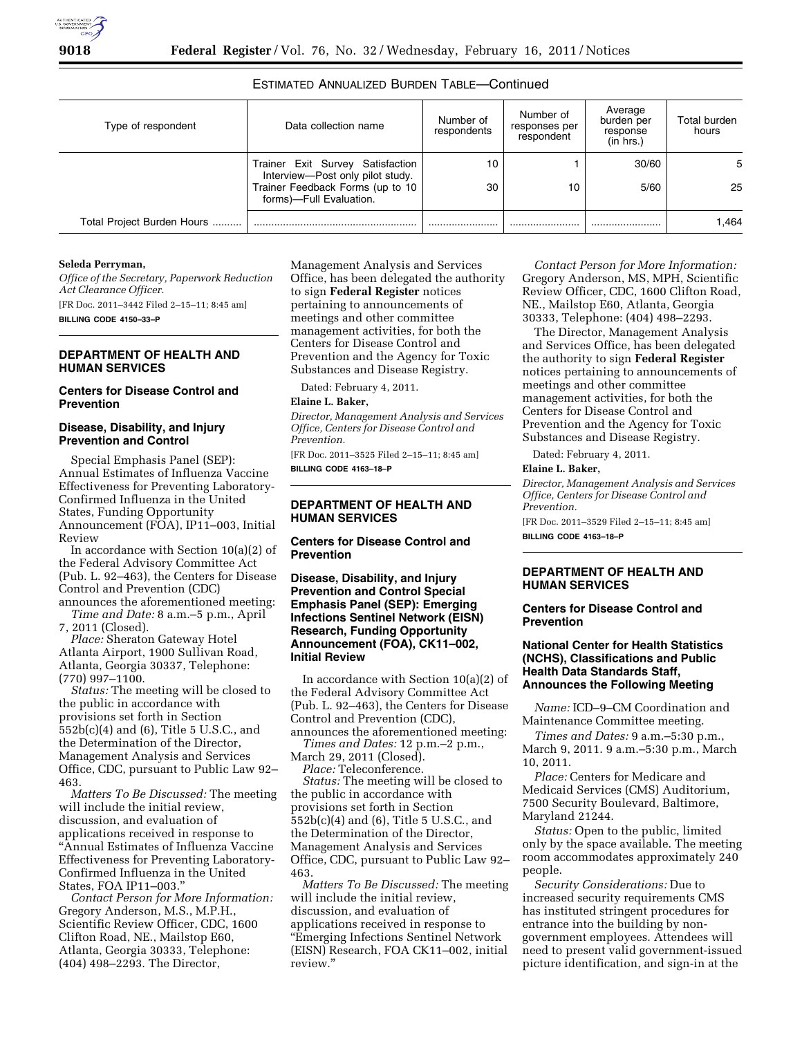# ESTIMATED ANNUALIZED BURDEN TABLE—Continued

| Type of respondent         | Data collection name                                                                                                                | Number of<br>respondents | Number of<br>responses per<br>respondent | Average<br>burden per<br>response<br>(in hrs.) | Total burden<br>hours |
|----------------------------|-------------------------------------------------------------------------------------------------------------------------------------|--------------------------|------------------------------------------|------------------------------------------------|-----------------------|
|                            | Trainer Exit Survey Satisfaction<br>Interview-Post only pilot study.<br>Trainer Feedback Forms (up to 10<br>forms)-Full Evaluation. | 10<br>30                 | 10                                       | 30/60<br>5/60                                  | 5<br>25               |
| Total Project Burden Hours |                                                                                                                                     |                          |                                          |                                                | 1.464                 |

### **Seleda Perryman,**

*Office of the Secretary, Paperwork Reduction Act Clearance Officer.*  [FR Doc. 2011–3442 Filed 2–15–11; 8:45 am] **BILLING CODE 4150–33–P** 

### **DEPARTMENT OF HEALTH AND HUMAN SERVICES**

# **Centers for Disease Control and Prevention**

### **Disease, Disability, and Injury Prevention and Control**

Special Emphasis Panel (SEP): Annual Estimates of Influenza Vaccine Effectiveness for Preventing Laboratory-Confirmed Influenza in the United States, Funding Opportunity Announcement (FOA), IP11–003, Initial Review

In accordance with Section 10(a)(2) of the Federal Advisory Committee Act (Pub. L. 92–463), the Centers for Disease Control and Prevention (CDC) announces the aforementioned meeting:

*Time and Date:* 8 a.m.–5 p.m., April 7, 2011 (Closed).

*Place:* Sheraton Gateway Hotel Atlanta Airport, 1900 Sullivan Road, Atlanta, Georgia 30337, Telephone: (770) 997–1100.

*Status:* The meeting will be closed to the public in accordance with provisions set forth in Section 552b(c)(4) and (6), Title 5 U.S.C., and the Determination of the Director, Management Analysis and Services Office, CDC, pursuant to Public Law 92– 463.

*Matters To Be Discussed:* The meeting will include the initial review, discussion, and evaluation of applications received in response to ''Annual Estimates of Influenza Vaccine Effectiveness for Preventing Laboratory-Confirmed Influenza in the United States, FOA IP11–003.''

*Contact Person for More Information:*  Gregory Anderson, M.S., M.P.H., Scientific Review Officer, CDC, 1600 Clifton Road, NE., Mailstop E60, Atlanta, Georgia 30333, Telephone: (404) 498–2293. The Director,

Management Analysis and Services Office, has been delegated the authority to sign **Federal Register** notices pertaining to announcements of meetings and other committee management activities, for both the Centers for Disease Control and Prevention and the Agency for Toxic Substances and Disease Registry.

Dated: February 4, 2011.

### **Elaine L. Baker,**

*Director, Management Analysis and Services Office, Centers for Disease Control and Prevention.* 

[FR Doc. 2011–3525 Filed 2–15–11; 8:45 am] **BILLING CODE 4163–18–P** 

# **DEPARTMENT OF HEALTH AND HUMAN SERVICES**

**Centers for Disease Control and Prevention** 

**Disease, Disability, and Injury Prevention and Control Special Emphasis Panel (SEP): Emerging Infections Sentinel Network (EISN) Research, Funding Opportunity Announcement (FOA), CK11–002, Initial Review** 

In accordance with Section 10(a)(2) of the Federal Advisory Committee Act (Pub. L. 92–463), the Centers for Disease Control and Prevention (CDC), announces the aforementioned meeting:

*Times and Dates:* 12 p.m.–2 p.m., March 29, 2011 (Closed).

*Place:* Teleconference.

*Status:* The meeting will be closed to the public in accordance with provisions set forth in Section 552b(c)(4) and (6), Title 5 U.S.C., and the Determination of the Director, Management Analysis and Services Office, CDC, pursuant to Public Law 92– 463.

*Matters To Be Discussed:* The meeting will include the initial review, discussion, and evaluation of applications received in response to ''Emerging Infections Sentinel Network (EISN) Research, FOA CK11–002, initial review.''

*Contact Person for More Information:*  Gregory Anderson, MS, MPH, Scientific Review Officer, CDC, 1600 Clifton Road, NE., Mailstop E60, Atlanta, Georgia 30333, Telephone: (404) 498–2293.

The Director, Management Analysis and Services Office, has been delegated the authority to sign **Federal Register**  notices pertaining to announcements of meetings and other committee management activities, for both the Centers for Disease Control and Prevention and the Agency for Toxic Substances and Disease Registry.

Dated: February 4, 2011.

# **Elaine L. Baker,**

*Director, Management Analysis and Services Office, Centers for Disease Control and Prevention.* 

[FR Doc. 2011–3529 Filed 2–15–11; 8:45 am] **BILLING CODE 4163–18–P** 

### **DEPARTMENT OF HEALTH AND HUMAN SERVICES**

#### **Centers for Disease Control and Prevention**

# **National Center for Health Statistics (NCHS), Classifications and Public Health Data Standards Staff, Announces the Following Meeting**

*Name:* ICD–9–CM Coordination and Maintenance Committee meeting.

*Times and Dates:* 9 a.m.–5:30 p.m., March 9, 2011. 9 a.m.–5:30 p.m., March 10, 2011.

*Place:* Centers for Medicare and Medicaid Services (CMS) Auditorium, 7500 Security Boulevard, Baltimore, Maryland 21244.

*Status:* Open to the public, limited only by the space available. The meeting room accommodates approximately 240 people.

*Security Considerations:* Due to increased security requirements CMS has instituted stringent procedures for entrance into the building by nongovernment employees. Attendees will need to present valid government-issued picture identification, and sign-in at the